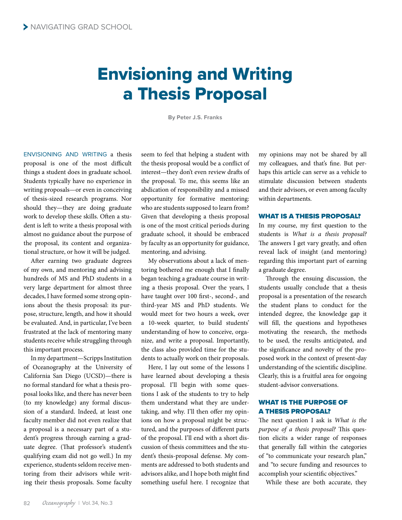# Envisioning and Writing a Thesis Proposal

**By Peter J.S. Franks**

ENVISIONING AND WRITING a thesis proposal is one of the most difficult things a student does in graduate school. Students typically have no experience in writing proposals—or even in conceiving of thesis-sized research programs. Nor should they—they are doing graduate work to develop these skills. Often a student is left to write a thesis proposal with almost no guidance about the purpose of the proposal, its content and organizational structure, or how it will be judged.

After earning two graduate degrees of my own, and mentoring and advising hundreds of MS and PhD students in a very large department for almost three decades, I have formed some strong opinions about the thesis proposal: its purpose, structure, length, and how it should be evaluated. And, in particular, I've been frustrated at the lack of mentoring many students receive while struggling through this important process.

In my department—Scripps Institution of Oceanography at the University of California San Diego (UCSD)—there is no formal standard for what a thesis proposal looks like, and there has never been (to my knowledge) any formal discussion of a standard. Indeed, at least one faculty member did not even realize that a proposal is a necessary part of a student's progress through earning a graduate degree. (That professor's student's qualifying exam did not go well.) In my experience, students seldom receive mentoring from their advisors while writing their thesis proposals. Some faculty

seem to feel that helping a student with the thesis proposal would be a conflict of interest—they don't even review drafts of the proposal. To me, this seems like an abdication of responsibility and a missed opportunity for formative mentoring: who are students supposed to learn from? Given that developing a thesis proposal is one of the most critical periods during graduate school, it should be embraced by faculty as an opportunity for guidance, mentoring, and advising.

My observations about a lack of mentoring bothered me enough that I finally began teaching a graduate course in writing a thesis proposal. Over the years, I have taught over 100 first-, second-, and third-year MS and PhD students. We would meet for two hours a week, over a 10-week quarter, to build students' understanding of how to conceive, organize, and write a proposal. Importantly, the class also provided time for the students to actually work on their proposals.

Here, I lay out some of the lessons I have learned about developing a thesis proposal. I'll begin with some questions I ask of the students to try to help them understand what they are undertaking, and why. I'll then offer my opinions on how a proposal might be structured, and the purposes of different parts of the proposal. I'll end with a short discussion of thesis committees and the student's thesis-proposal defense. My comments are addressed to both students and advisors alike, and I hope both might find something useful here. I recognize that my opinions may not be shared by all my colleagues, and that's fine. But perhaps this article can serve as a vehicle to stimulate discussion between students and their advisors, or even among faculty within departments.

### WHAT IS A THESIS PROPOSAL?

In my course, my first question to the students is *What is a thesis proposal?* The answers I get vary greatly, and often reveal lack of insight (and mentoring) regarding this important part of earning a graduate degree.

Through the ensuing discussion, the students usually conclude that a thesis proposal is a presentation of the research the student plans to conduct for the intended degree, the knowledge gap it will fill, the questions and hypotheses motivating the research, the methods to be used, the results anticipated, and the significance and novelty of the proposed work in the context of present-day understanding of the scientific discipline. Clearly, this is a fruitful area for ongoing student-advisor conversations.

## WHAT IS THE PURPOSE OF A THESIS PROPOSAL?

The next question I ask is *What is the purpose of a thesis proposal?* This question elicits a wider range of responses that generally fall within the categories of "to communicate your research plan," and "to secure funding and resources to accomplish your scientific objectives."

While these are both accurate, they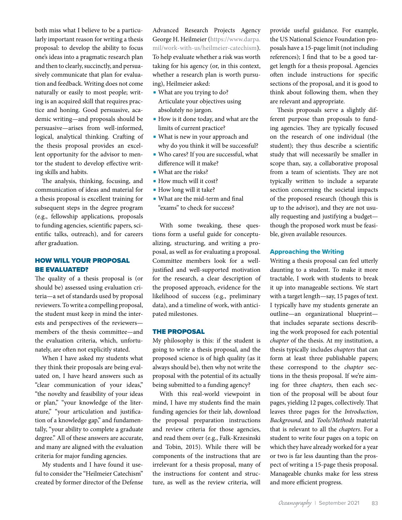both miss what I believe to be a particularly important reason for writing a thesis proposal: to develop the ability to focus one's ideas into a pragmatic research plan and then to clearly, succinctly, and persuasively communicate that plan for evaluation and feedback. Writing does not come naturally or easily to most people; writing is an acquired skill that requires practice and honing. Good persuasive, academic writing—and proposals should be persuasive—arises from well-informed, logical, analytical thinking. Crafting of the thesis proposal provides an excellent opportunity for the advisor to mentor the student to develop effective writing skills and habits.

The analysis, thinking, focusing, and communication of ideas and material for a thesis proposal is excellent training for subsequent steps in the degree program (e.g., fellowship applications, proposals to funding agencies, scientific papers, scientific talks, outreach), and for careers after graduation.

# HOW WILL YOUR PROPOSAL BE EVALUATED?

The quality of a thesis proposal is (or should be) assessed using evaluation criteria—a set of standards used by proposal reviewers. To write a compelling proposal, the student must keep in mind the interests and perspectives of the reviewers members of the thesis committee—and the evaluation criteria, which, unfortunately, are often not explicitly stated.

When I have asked my students what they think their proposals are being evaluated on, I have heard answers such as "clear communication of your ideas," "the novelty and feasibility of your ideas or plan," "your knowledge of the literature," "your articulation and justification of a knowledge gap," and fundamentally, "your ability to complete a graduate degree." All of these answers are accurate, and many are aligned with the evaluation criteria for major funding agencies.

My students and I have found it useful to consider the "Heilmeier Catechism" created by former director of the Defense Advanced Research Projects Agency George H. Heilmeier [\(https://www.darpa.](https://www.darpa.mil/work-with-us/heilmeier-catechism) [mil/work-with-us/heilmeier-catechism](https://www.darpa.mil/work-with-us/heilmeier-catechism)). To help evaluate whether a risk was worth taking for his agency (or, in this context, whether a research plan is worth pursuing), Heilmeier asked:

- What are you trying to do? Articulate your objectives using absolutely no jargon.
- How is it done today, and what are the limits of current practice?
- What is new in your approach and why do you think it will be successful?
- Who cares? If you are successful, what difference will it make?
- What are the risks?
- How much will it cost?
- How long will it take?
- What are the mid-term and final "exams" to check for success?

With some tweaking, these questions form a useful guide for conceptualizing, structuring, and writing a proposal, as well as for evaluating a proposal. Committee members look for a welljustified and well-supported motivation for the research, a clear description of the proposed approach, evidence for the likelihood of success (e.g., preliminary data), and a timeline of work, with anticipated milestones.

#### THE PROPOSAL

My philosophy is this: if the student is going to write a thesis proposal, and the proposed science is of high quality (as it always should be), then why not write the proposal with the potential of its actually being submitted to a funding agency?

With this real-world viewpoint in mind, I have my students find the main funding agencies for their lab, download the proposal preparation instructions and review criteria for those agencies, and read them over (e.g., Falk-Krzesinski and Tobin, 2015). While there will be components of the instructions that are irrelevant for a thesis proposal, many of the instructions for content and structure, as well as the review criteria, will provide useful guidance. For example, the US National Science Foundation proposals have a 15-page limit (not including references); I find that to be a good target length for a thesis proposal. Agencies often include instructions for specific sections of the proposal, and it is good to think about following them, when they are relevant and appropriate.

Thesis proposals serve a slightly different purpose than proposals to funding agencies. They are typically focused on the research of one individual (the student); they thus describe a scientific study that will necessarily be smaller in scope than, say, a collaborative proposal from a team of scientists. They are not typically written to include a separate section concerning the societal impacts of the proposed research (though this is up to the advisor), and they are not usually requesting and justifying a budget though the proposed work must be feasible, given available resources.

#### Approaching the Writing

Writing a thesis proposal can feel utterly daunting to a student. To make it more tractable, I work with students to break it up into manageable sections. We start with a target length—say, 15 pages of text. I typically have my students generate an outline—an organizational blueprint that includes separate sections describing the work proposed for each potential *chapter* of the thesis. At my institution, a thesis typically includes *chapters* that can form at least three publishable papers; these correspond to the *chapter* sections in the thesis proposal. If we're aiming for three *chapters*, then each section of the proposal will be about four pages, yielding 12 pages, collectively. That leaves three pages for the *Introduction*, *Background*, and *Tools/Methods* material that is relevant to all the *chapters*. For a student to write four pages on a topic on which they have already worked for a year or two is far less daunting than the prospect of writing a 15-page thesis proposal. Manageable chunks make for less stress and more efficient progress.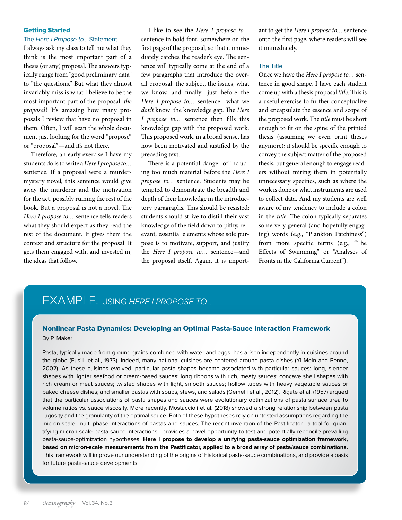#### Getting Started

#### The *Here I Propose to…* Statement

I always ask my class to tell me what they think is the most important part of a thesis (or any) proposal. The answers typically range from "good preliminary data" to "the questions." But what they almost invariably miss is what I believe to be the most important part of the proposal: *the proposal*! It's amazing how many proposals I review that have no proposal in them. Often, I will scan the whole document just looking for the word "propose" or "proposal"—and it's not there.

Therefore, an early exercise I have my students do is to write a *Here I propose to…* sentence. If a proposal were a murdermystery novel, this sentence would give away the murderer and the motivation for the act, possibly ruining the rest of the book. But a proposal is not a novel. The *Here I propose to…* sentence tells readers what they should expect as they read the rest of the document. It gives them the context and structure for the proposal. It gets them engaged with, and invested in, the ideas that follow.

I like to see the *Here I propose to…* sentence in bold font, somewhere on the first page of the proposal, so that it immediately catches the reader's eye. The sentence will typically come at the end of a few paragraphs that introduce the overall proposal: the subject, the issues, what we know, and finally—just before the *Here I propose to…* sentence—what we *don't* know: the knowledge gap. The *Here I propose to…* sentence then fills this knowledge gap with the proposed work. This proposed work, in a broad sense, has now been motivated and justified by the preceding text.

There is a potential danger of including too much material before the *Here I propose to…* sentence. Students may be tempted to demonstrate the breadth and depth of their knowledge in the introductory paragraphs. This should be resisted; students should strive to distill their vast knowledge of the field down to pithy, relevant, essential elements whose sole purpose is to motivate, support, and justify the *Here I propose to…* sentence—and the proposal itself. Again, it is important to get the *Here I propose to…* sentence onto the first page, where readers will see it immediately.

#### The Title

Once we have the *Here I propose to…* sentence in good shape, I have each student come up with a thesis proposal *title*. This is a useful exercise to further conceptualize and encapsulate the essence and scope of the proposed work. The *title* must be short enough to fit on the spine of the printed thesis (assuming we even print theses anymore); it should be specific enough to convey the subject matter of the proposed thesis, but general enough to engage readers without miring them in potentially unnecessary specifics, such as where the work is done or what instruments are used to collect data. And my students are well aware of my tendency to include a colon in the *title*. The colon typically separates some very general (and hopefully engaging) words (e.g., "Plankton Patchiness") from more specific terms (e.g., "The Effects of Swimming" or "Analyses of Fronts in the California Current").

# EXAMPLE. USING *HERE I PROPOSE TO…*

# Nonlinear Pasta Dynamics: Developing an Optimal Pasta-Sauce Interaction Framework

#### By P. Maker

Pasta, typically made from ground grains combined with water and eggs, has arisen independently in cuisines around the globe (Fusilli et al., 1973). Indeed, many national cuisines are centered around pasta dishes (Yi Mein and Penne, 2002). As these cuisines evolved, particular pasta shapes became associated with particular sauces: long, slender shapes with lighter seafood or cream-based sauces; long ribbons with rich, meaty sauces; concave shell shapes with rich cream or meat sauces; twisted shapes with light, smooth sauces; hollow tubes with heavy vegetable sauces or baked cheese dishes; and smaller pastas with soups, stews, and salads (Gemelli et al., 2012). Rigate et al. (1957) argued that the particular associations of pasta shapes and sauces were evolutionary optimizations of pasta surface area to volume ratios vs. sauce viscosity. More recently, Mostaccioli et al. (2018) showed a strong relationship between pasta rugosity and the granularity of the optimal sauce. Both of these hypotheses rely on untested assumptions regarding the micron-scale, multi-phase interactions of pastas and sauces. The recent invention of the Pastificator—a tool for quantifying micron-scale pasta-sauce interactions—provides a novel opportunity to test and potentially reconcile prevailing pasta-sauce-optimization hypotheses. **Here I propose to develop a unifying pasta-sauce optimization framework, based on micron-scale measurements from the Pastificator, applied to a broad array of pasta/sauce combinations.** This framework will improve our understanding of the origins of historical pasta-sauce combinations, and provide a basis for future pasta-sauce developments.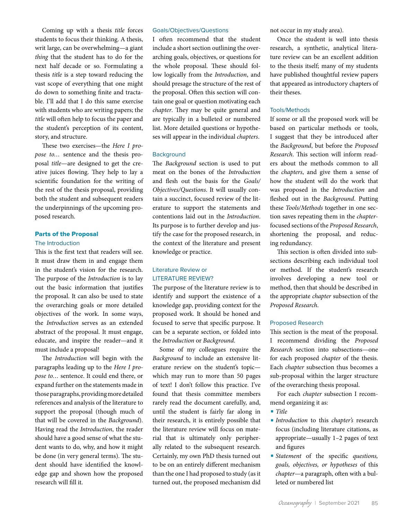Coming up with a thesis *title* forces students to focus their thinking. A thesis, writ large, can be overwhelming—a giant *thing* that the student has to do for the next half decade or so. Formulating a thesis *title* is a step toward reducing the vast scope of everything that one might do down to something finite and tractable. I'll add that I do this same exercise with students who are writing papers; the *title* will often help to focus the paper and the student's perception of its content, story, and structure.

These two exercises—the *Here I propose to…* sentence and the thesis proposal *title*—are designed to get the creative juices flowing. They help to lay a scientific foundation for the writing of the rest of the thesis proposal, providing both the student and subsequent readers the underpinnings of the upcoming proposed research.

### Parts of the Proposal

#### The Introduction

This is the first text that readers will see. It must draw them in and engage them in the student's vision for the research. The purpose of the *Introduction* is to lay out the basic information that justifies the proposal. It can also be used to state the overarching goals or more detailed objectives of the work. In some ways, the *Introduction* serves as an extended abstract of the proposal. It must engage, educate, and inspire the reader—and it must include a proposal!

The *Introduction* will begin with the paragraphs leading up to the *Here I propose to…* sentence. It could end there, or expand further on the statements made in those paragraphs, providing more detailed references and analysis of the literature to support the proposal (though much of that will be covered in the *Background*). Having read the *Introduction*, the reader should have a good sense of what the student wants to do, why, and how it might be done (in very general terms). The student should have identified the knowledge gap and shown how the proposed research will fill it.

#### Goals/Objectives/Questions

I often recommend that the student include a short section outlining the overarching goals, objectives, or questions for the whole proposal. These should follow logically from the *Introduction*, and should presage the structure of the rest of the proposal. Often this section will contain one goal or question motivating each *chapter*. They may be quite general and are typically in a bulleted or numbered list. More detailed questions or hypotheses will appear in the individual *chapters*.

#### **Background**

The *Background* section is used to put meat on the bones of the *Introduction* and flesh out the basis for the *Goals/ Objectives/Questions*. It will usually contain a succinct, focused review of the literature to support the statements and contentions laid out in the *Introduction*. Its purpose is to further develop and justify the case for the proposed research, in the context of the literature and present knowledge or practice.

# Literature Review or LITERATURE REVIEW?

The purpose of the literature review is to identify and support the existence of a knowledge gap, providing context for the proposed work. It should be honed and focused to serve that specific purpose. It can be a separate section, or folded into the *Introduction* or *Background*.

Some of my colleagues require the *Background* to include an extensive literature review on the student's topic which may run to more than 50 pages of text! I don't follow this practice. I've found that thesis committee members rarely read the document carefully, and, until the student is fairly far along in their research, it is entirely possible that the literature review will focus on material that is ultimately only peripherally related to the subsequent research. Certainly, my own PhD thesis turned out to be on an entirely different mechanism than the one I had proposed to study (as it turned out, the proposed mechanism did not occur in my study area).

Once the student is well into thesis research, a synthetic, analytical literature review can be an excellent addition to the thesis itself; many of my students have published thoughtful review papers that appeared as introductory chapters of their theses.

#### Tools/Methods

If some or all the proposed work will be based on particular methods or tools, I suggest that they be introduced after the *Background*, but before the *Proposed Research*. This section will inform readers about the methods common to all the *chapters*, and give them a sense of how the student will do the work that was proposed in the *Introduction* and fleshed out in the *Background*. Putting these *Tools/Methods* together in one section saves repeating them in the *chapter*focused sections of the *Proposed Research*, shortening the proposal, and reducing redundancy.

This section is often divided into subsections describing each individual tool or method. If the student's research involves developing a new tool or method, then that should be described in the appropriate *chapter* subsection of the *Proposed Research*.

#### Proposed Research

This section is the meat of the proposal. I recommend dividing the *Proposed Research* section into subsections—one for each proposed *chapter* of the thesis. Each *chapter* subsection thus becomes a sub-proposal within the larger structure of the overarching thesis proposal.

For each *chapter* subsection I recommend organizing it as:

- *Title*
- *Introduction* to this *chapter's* research focus (including literature citations, as appropriate—usually 1–2 pages of text and figures
- *Statement* of the specific *questions, goals, objectives, or hypotheses* of this *chapter*—a paragraph, often with a bulleted or numbered list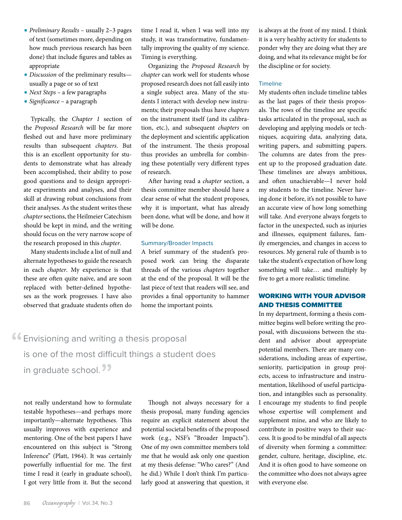- *Preliminary Results* usually 2–3 pages of text (sometimes more, depending on how much previous research has been done) that include figures and tables as appropriate
- *Discussion* of the preliminary results usually a page or so of text
- *Next Steps* a few paragraphs
- *Significance* a paragraph

Typically, the *Chapter 1* section of the *Proposed Research* will be far more fleshed out and have more preliminary results than subsequent *chapters*. But this is an excellent opportunity for students to demonstrate what has already been accomplished, their ability to pose good questions and to design appropriate experiments and analyses, and their skill at drawing robust conclusions from their analyses. As the student writes these *chapter* sections, the Heilmeier Catechism should be kept in mind, and the writing should focus on the very narrow scope of the research proposed in this *chapter*.

Many students include a list of null and alternate hypotheses to guide the research in each *chapter*. My experience is that these are often quite naive, and are soon replaced with better-defined hypotheses as the work progresses. I have also observed that graduate students often do

time I read it, when I was well into my study, it was transformative, fundamentally improving the quality of my science. Timing is everything.

Organizing the *Proposed Research* by *chapter* can work well for students whose proposed research does not fall easily into a single subject area. Many of the students I interact with develop new instruments; their proposals thus have *chapters* on the instrument itself (and its calibration, etc.), and subsequent *chapters* on the deployment and scientific application of the instrument. The thesis proposal thus provides an umbrella for combining these potentially very different types of research.

After having read a *chapter* section, a thesis committee member should have a clear sense of what the student proposes, why it is important, what has already been done, what will be done, and how it will be done.

#### Summary/Broader Impacts

A brief summary of the student's proposed work can bring the disparate threads of the various *chapters* together at the end of the proposal. It will be the last piece of text that readers will see, and provides a final opportunity to hammer home the important points.

# Computed Christoning and writing a thesis proposal<br>is one of the most difficult things a studer is one of the most difficult things a student does in graduate school.<sup>99</sup>

not really understand how to formulate testable hypotheses—and perhaps more importantly—alternate hypotheses. This usually improves with experience and mentoring. One of the best papers I have encountered on this subject is "Strong Inference" (Platt, 1964). It was certainly powerfully influential for me. The first time I read it (early in graduate school), I got very little from it. But the second

Though not always necessary for a thesis proposal, many funding agencies require an explicit statement about the potential societal benefits of the proposed work (e.g., NSF's "Broader Impacts"). One of my own committee members told me that he would ask only one question at my thesis defense: "Who cares?" (And he did.) While I don't think I'm particularly good at answering that question, it is always at the front of my mind. I think it is a very healthy activity for students to ponder why they are doing what they are doing, and what its relevance might be for the discipline or for society.

#### **Timeline**

My students often include timeline tables as the last pages of their thesis proposals. The rows of the timeline are specific tasks articulated in the proposal, such as developing and applying models or techniques, acquiring data, analyzing data, writing papers, and submitting papers. The columns are dates from the present up to the proposed graduation date. These timelines are always ambitious, and often unachievable—I never hold my students to the timeline. Never having done it before, it's not possible to have an accurate view of how long something will take. And everyone always forgets to factor in the unexpected, such as injuries and illnesses, equipment failures, family emergencies, and changes in access to resources. My general rule of thumb is to take the student's expectation of how long something will take… and multiply by five to get a more realistic timeline.

# WORKING WITH YOUR ADVISOR AND THESIS COMMITTEE

In my department, forming a thesis committee begins well before writing the proposal, with discussions between the student and advisor about appropriate potential members. There are many considerations, including areas of expertise, seniority, participation in group projects, access to infrastructure and instrumentation, likelihood of useful participation, and intangibles such as personality. I encourage my students to find people whose expertise will complement and supplement mine, and who are likely to contribute in positive ways to their success. It is good to be mindful of all aspects of diversity when forming a committee: gender, culture, heritage, discipline, etc. And it is often good to have someone on the committee who does not always agree with everyone else.